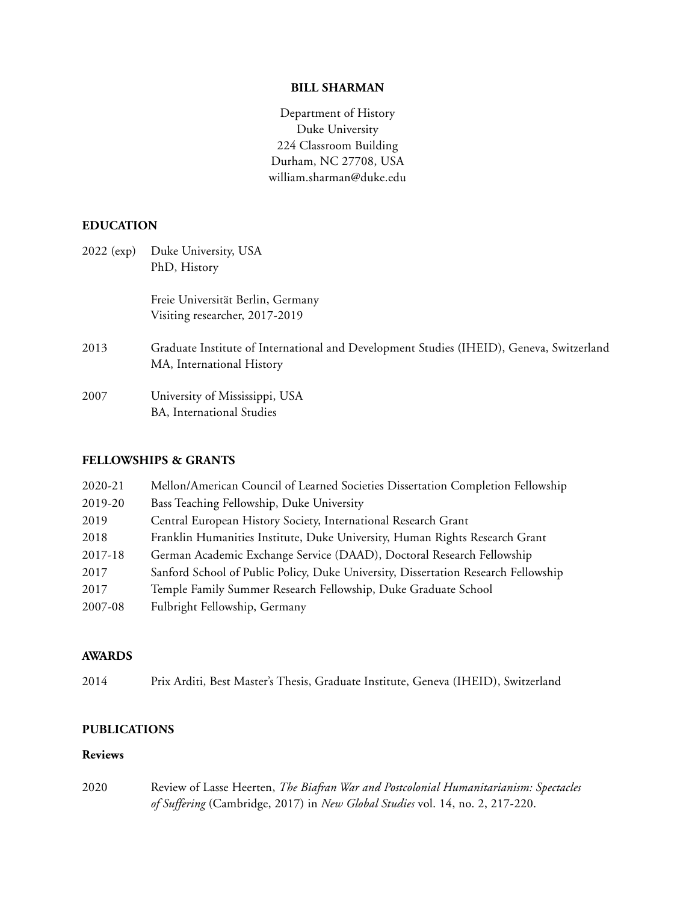### **BILL SHARMAN**

Department of History Duke University 224 Classroom Building Durham, NC 27708, USA william.sharman@duke.edu

# **EDUCATION**

| $2022$ (exp) | Duke University, USA<br>PhD, History                                                                                  |
|--------------|-----------------------------------------------------------------------------------------------------------------------|
|              | Freie Universität Berlin, Germany<br>Visiting researcher, 2017-2019                                                   |
| 2013         | Graduate Institute of International and Development Studies (IHEID), Geneva, Switzerland<br>MA, International History |
| 2007         | University of Mississippi, USA<br>BA, International Studies                                                           |

### **FELLOWSHIPS & GRANTS**

| 2020-21 | Mellon/American Council of Learned Societies Dissertation Completion Fellowship    |
|---------|------------------------------------------------------------------------------------|
| 2019-20 | Bass Teaching Fellowship, Duke University                                          |
| 2019    | Central European History Society, International Research Grant                     |
| 2018    | Franklin Humanities Institute, Duke University, Human Rights Research Grant        |
| 2017-18 | German Academic Exchange Service (DAAD), Doctoral Research Fellowship              |
| 2017    | Sanford School of Public Policy, Duke University, Dissertation Research Fellowship |
| 2017    | Temple Family Summer Research Fellowship, Duke Graduate School                     |
| 2007-08 | Fulbright Fellowship, Germany                                                      |

#### **AWARDS**

2014 Prix Arditi, Best Master's Thesis, Graduate Institute, Geneva (IHEID), Switzerland

# **PUBLICATIONS**

# **Reviews**

2020 Review of Lasse Heerten, *The Biafran War and Postcolonial Humanitarianism: Spectacles of Suffering* (Cambridge, 2017) in *New Global Studies* vol. 14, no. 2, 217-220.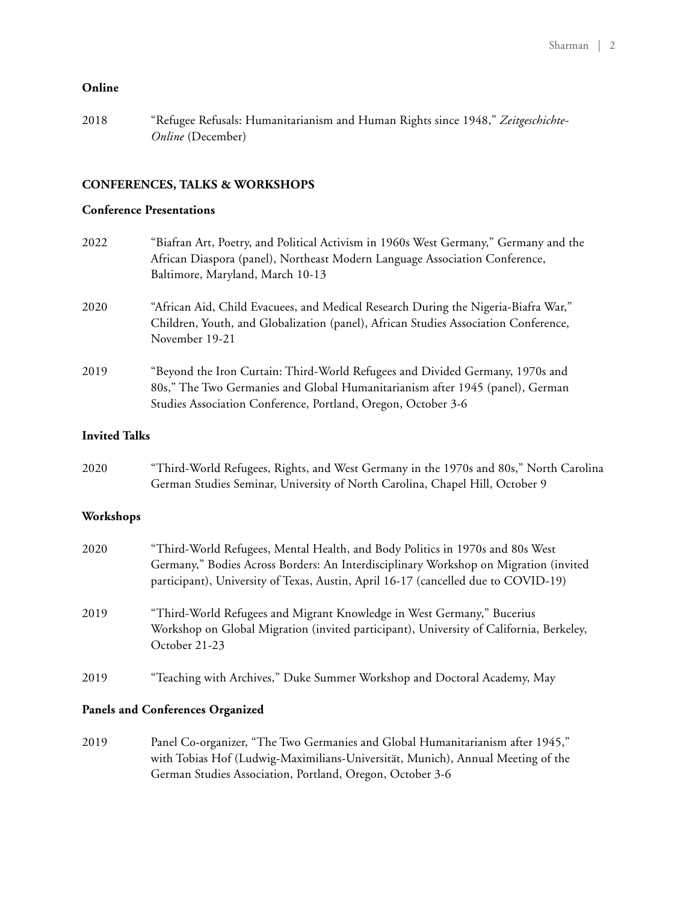# **Online**

2018 "Refugee Refusals: Humanitarianism and Human Rights since 1948," *Zeitgeschichte-Online* (December)

# **CONFERENCES, TALKS & WORKSHOPS**

# **Conference Presentations**

| 2022                 | "Biafran Art, Poetry, and Political Activism in 1960s West Germany," Germany and the<br>African Diaspora (panel), Northeast Modern Language Association Conference,<br>Baltimore, Maryland, March 10-13                         |
|----------------------|---------------------------------------------------------------------------------------------------------------------------------------------------------------------------------------------------------------------------------|
| 2020                 | "African Aid, Child Evacuees, and Medical Research During the Nigeria-Biafra War,"<br>Children, Youth, and Globalization (panel), African Studies Association Conference,<br>November 19-21                                     |
| 2019                 | "Beyond the Iron Curtain: Third-World Refugees and Divided Germany, 1970s and<br>80s," The Two Germanies and Global Humanitarianism after 1945 (panel), German<br>Studies Association Conference, Portland, Oregon, October 3-6 |
| <b>Invited Talks</b> |                                                                                                                                                                                                                                 |
| 2020                 | "Third-World Refugees, Rights, and West Germany in the 1970s and 80s," North Carolina<br>German Studies Seminar, University of North Carolina, Chapel Hill, October 9                                                           |

# **Workshops**

| 2020 | "Third-World Refugees, Mental Health, and Body Politics in 1970s and 80s West<br>Germany," Bodies Across Borders: An Interdisciplinary Workshop on Migration (invited<br>participant), University of Texas, Austin, April 16-17 (cancelled due to COVID-19) |
|------|-------------------------------------------------------------------------------------------------------------------------------------------------------------------------------------------------------------------------------------------------------------|
| 2019 | "Third-World Refugees and Migrant Knowledge in West Germany," Bucerius<br>Workshop on Global Migration (invited participant), University of California, Berkeley,<br>October 21-23                                                                          |
| 2019 | "Teaching with Archives," Duke Summer Workshop and Doctoral Academy, May                                                                                                                                                                                    |

### **Panels and Conferences Organized**

2019 Panel Co-organizer, "The Two Germanies and Global Humanitarianism after 1945," with Tobias Hof (Ludwig-Maximilians-Universität, Munich), Annual Meeting of the German Studies Association, Portland, Oregon, October 3-6